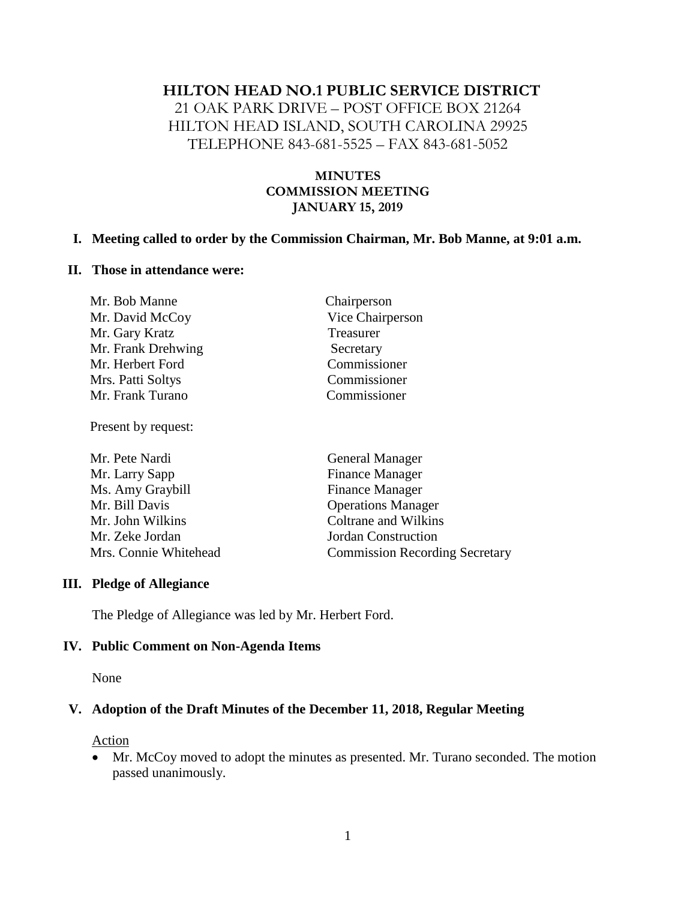### **HILTON HEAD NO.1 PUBLIC SERVICE DISTRICT**

21 OAK PARK DRIVE – POST OFFICE BOX 21264 HILTON HEAD ISLAND, SOUTH CAROLINA 29925 TELEPHONE 843-681-5525 – FAX 843-681-5052

### **MINUTES COMMISSION MEETING JANUARY 15, 2019**

#### **I. Meeting called to order by the Commission Chairman, Mr. Bob Manne, at 9:01 a.m.**

#### **II. Those in attendance were:**

| Mr. Bob Manne      | Chairperson      |
|--------------------|------------------|
| Mr. David McCoy    | Vice Chairperson |
| Mr. Gary Kratz     | Treasurer        |
| Mr. Frank Drehwing | Secretary        |
| Mr. Herbert Ford   | Commissioner     |
| Mrs. Patti Soltys  | Commissioner     |
| Mr. Frank Turano   | Commissioner     |

Present by request:

| Mr. Pete Nardi        | <b>General Manager</b>                |  |
|-----------------------|---------------------------------------|--|
| Mr. Larry Sapp        | <b>Finance Manager</b>                |  |
| Ms. Amy Graybill      | <b>Finance Manager</b>                |  |
| Mr. Bill Davis        | <b>Operations Manager</b>             |  |
| Mr. John Wilkins      | Coltrane and Wilkins                  |  |
| Mr. Zeke Jordan       | <b>Jordan Construction</b>            |  |
| Mrs. Connie Whitehead | <b>Commission Recording Secretary</b> |  |

#### **III. Pledge of Allegiance**

The Pledge of Allegiance was led by Mr. Herbert Ford.

#### **IV. Public Comment on Non-Agenda Items**

None

#### **V. Adoption of the Draft Minutes of the December 11, 2018, Regular Meeting**

Action

• Mr. McCoy moved to adopt the minutes as presented. Mr. Turano seconded. The motion passed unanimously.